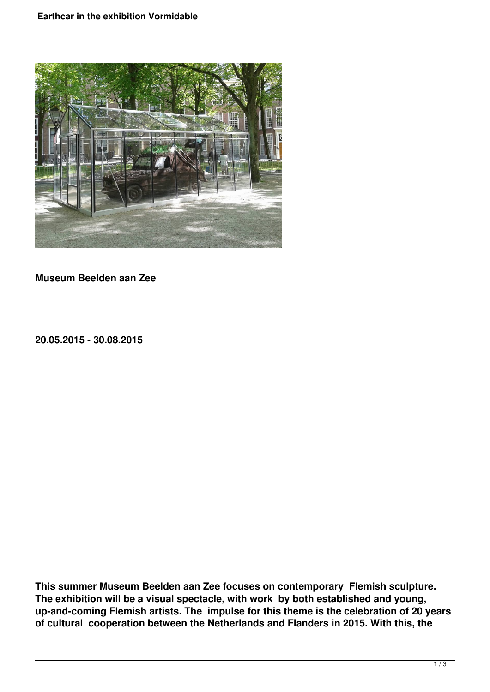

**Museum Beelden aan Zee**

**20.05.2015 - 30.08.2015**

**This summer Museum Beelden aan Zee focuses on contemporary Flemish sculpture. The exhibition will be a visual spectacle, with work by both established and young, up-and-coming Flemish artists. The impulse for this theme is the celebration of 20 years of cultural cooperation between the Netherlands and Flanders in 2015. With this, the**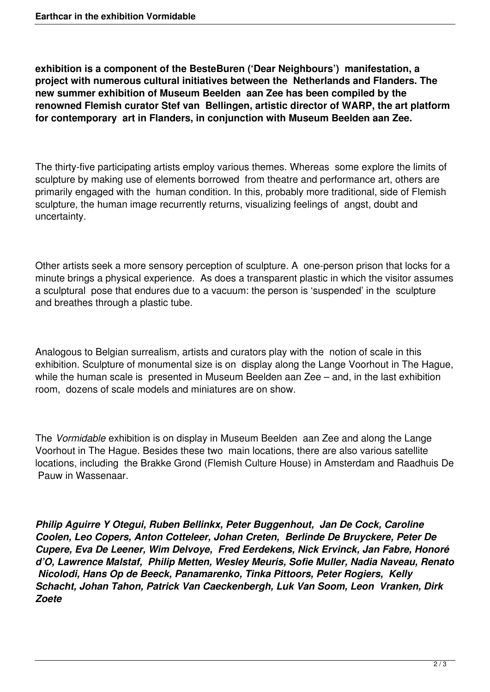**exhibition is a component of the BesteBuren ('Dear Neighbours') manifestation, a project with numerous cultural initiatives between the Netherlands and Flanders. The new summer exhibition of Museum Beelden aan Zee has been compiled by the renowned Flemish curator Stef van Bellingen, artistic director of WARP, the art platform for contemporary art in Flanders, in conjunction with Museum Beelden aan Zee.**

The thirty-five participating artists employ various themes. Whereas some explore the limits of sculpture by making use of elements borrowed from theatre and performance art, others are primarily engaged with the human condition. In this, probably more traditional, side of Flemish sculpture, the human image recurrently returns, visualizing feelings of angst, doubt and uncertainty.

Other artists seek a more sensory perception of sculpture. A one-person prison that locks for a minute brings a physical experience. As does a transparent plastic in which the visitor assumes a sculptural pose that endures due to a vacuum: the person is 'suspended' in the sculpture and breathes through a plastic tube.

Analogous to Belgian surrealism, artists and curators play with the notion of scale in this exhibition. Sculpture of monumental size is on display along the Lange Voorhout in The Hague, while the human scale is presented in Museum Beelden aan Zee – and, in the last exhibition room, dozens of scale models and miniatures are on show.

The *Vormidable* exhibition is on display in Museum Beelden aan Zee and along the Lange Voorhout in The Hague. Besides these two main locations, there are also various satellite locations, including the Brakke Grond (Flemish Culture House) in Amsterdam and Raadhuis De Pauw in Wassenaar.

*Philip Aguirre Y Otegui, Ruben Bellinkx, Peter Buggenhout, Jan De Cock, Caroline Coolen, Leo Copers, Anton Cotteleer, Johan Creten, Berlinde De Bruyckere, Peter De Cupere, Eva De Leener, Wim Delvoye, Fred Eerdekens, Nick Ervinck, Jan Fabre, Honoré d'O, Lawrence Malstaf, Philip Metten, Wesley Meuris, Sofie Muller, Nadia Naveau, Renato Nicolodi, Hans Op de Beeck, Panamarenko, Tinka Pittoors, Peter Rogiers, Kelly Schacht, Johan Tahon, Patrick Van Caeckenbergh, Luk Van Soom, Leon Vranken, Dirk Zoete*